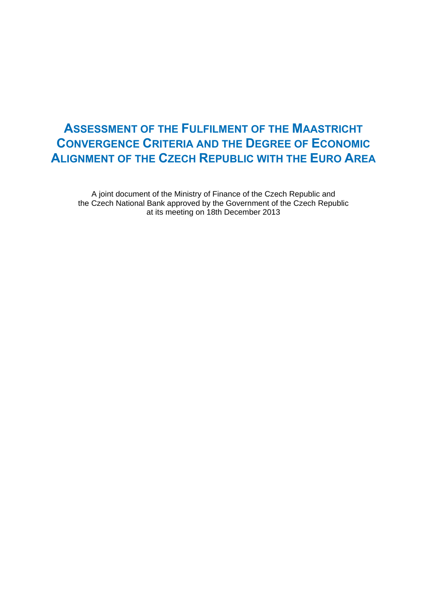# **ASSESSMENT OF THE FULFILMENT OF THE MAASTRICHT CONVERGENCE CRITERIA AND THE DEGREE OF ECONOMIC ALIGNMENT OF THE CZECH REPUBLIC WITH THE EURO AREA**

A joint document of the Ministry of Finance of the Czech Republic and the Czech National Bank approved by the Government of the Czech Republic at its meeting on 18th December 2013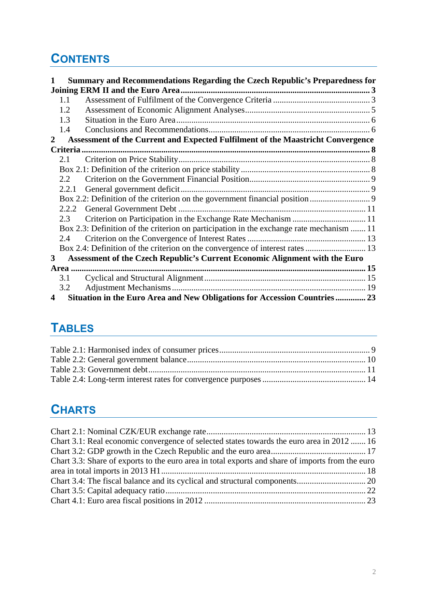# **CONTENTS**

| 1            |       | Summary and Recommendations Regarding the Czech Republic's Preparedness for              |  |
|--------------|-------|------------------------------------------------------------------------------------------|--|
|              |       |                                                                                          |  |
|              | 1.1   |                                                                                          |  |
|              | 1.2   |                                                                                          |  |
|              | 1.3   |                                                                                          |  |
|              | 1.4   |                                                                                          |  |
| $\mathbf{2}$ |       | Assessment of the Current and Expected Fulfilment of the Maastricht Convergence          |  |
|              |       |                                                                                          |  |
|              | 2.1   |                                                                                          |  |
|              |       |                                                                                          |  |
|              | 2.2   |                                                                                          |  |
|              | 2.2.1 |                                                                                          |  |
|              |       |                                                                                          |  |
|              | 2.2.2 |                                                                                          |  |
|              | 2.3   |                                                                                          |  |
|              |       | Box 2.3: Definition of the criterion on participation in the exchange rate mechanism  11 |  |
|              | 2.4   |                                                                                          |  |
|              |       |                                                                                          |  |
| 3            |       | Assessment of the Czech Republic's Current Economic Alignment with the Euro              |  |
|              |       |                                                                                          |  |
|              | 3.1   |                                                                                          |  |
|              | 3.2   |                                                                                          |  |
| 4            |       | Situation in the Euro Area and New Obligations for Accession Countries  23               |  |

# **[TABLES](#page-22-0)**

# **[C](#page-10-3)[HARTS](#page-13-0)**

| Chart 3.1: Real economic convergence of selected states towards the euro area in 2012  16        |  |
|--------------------------------------------------------------------------------------------------|--|
|                                                                                                  |  |
| Chart 3.3: Share of exports to the euro area in total exports and share of imports from the euro |  |
|                                                                                                  |  |
|                                                                                                  |  |
|                                                                                                  |  |
|                                                                                                  |  |
|                                                                                                  |  |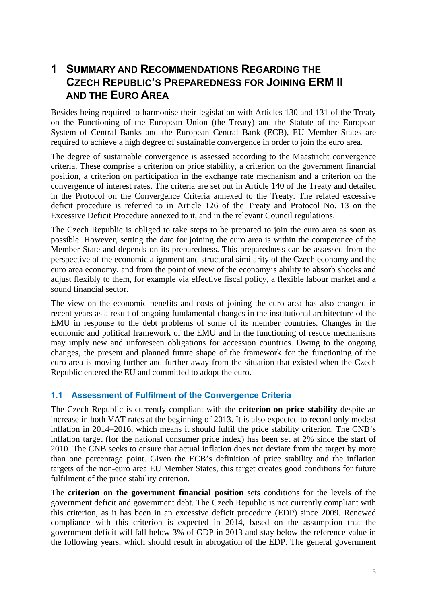## <span id="page-2-0"></span>**1 SUMMARY AND RECOMMENDATIONS REGARDING THE CZECH REPUBLIC'S PREPAREDNESS FOR JOINING ERM II AND THE EURO AREA**

Besides being required to harmonise their legislation with Articles 130 and 131 of the Treaty on the Functioning of the European Union (the Treaty) and the Statute of the European System of Central Banks and the European Central Bank (ECB), EU Member States are required to achieve a high degree of sustainable convergence in order to join the euro area.

The degree of sustainable convergence is assessed according to the Maastricht convergence criteria. These comprise a criterion on price stability, a criterion on the government financial position, a criterion on participation in the exchange rate mechanism and a criterion on the convergence of interest rates. The criteria are set out in Article 140 of the Treaty and detailed in the Protocol on the Convergence Criteria annexed to the Treaty. The related excessive deficit procedure is referred to in Article 126 of the Treaty and Protocol No. 13 on the Excessive Deficit Procedure annexed to it, and in the relevant Council regulations.

The Czech Republic is obliged to take steps to be prepared to join the euro area as soon as possible. However, setting the date for joining the euro area is within the competence of the Member State and depends on its preparedness. This preparedness can be assessed from the perspective of the economic alignment and structural similarity of the Czech economy and the euro area economy, and from the point of view of the economy's ability to absorb shocks and adjust flexibly to them, for example via effective fiscal policy, a flexible labour market and a sound financial sector.

The view on the economic benefits and costs of joining the euro area has also changed in recent years as a result of ongoing fundamental changes in the institutional architecture of the EMU in response to the debt problems of some of its member countries. Changes in the economic and political framework of the EMU and in the functioning of rescue mechanisms may imply new and unforeseen obligations for accession countries. Owing to the ongoing changes, the present and planned future shape of the framework for the functioning of the euro area is moving further and further away from the situation that existed when the Czech Republic entered the EU and committed to adopt the euro.

## <span id="page-2-1"></span>**1.1 Assessment of Fulfilment of the Convergence Criteria**

The Czech Republic is currently compliant with the **criterion on price stability** despite an increase in both VAT rates at the beginning of 2013. It is also expected to record only modest inflation in 2014–2016, which means it should fulfil the price stability criterion. The CNB's inflation target (for the national consumer price index) has been set at 2% since the start of 2010. The CNB seeks to ensure that actual inflation does not deviate from the target by more than one percentage point. Given the ECB's definition of price stability and the inflation targets of the non-euro area EU Member States, this target creates good conditions for future fulfilment of the price stability criterion.

The **criterion on the government financial position** sets conditions for the levels of the government deficit and government debt. The Czech Republic is not currently compliant with this criterion, as it has been in an excessive deficit procedure (EDP) since 2009. Renewed compliance with this criterion is expected in 2014, based on the assumption that the government deficit will fall below 3% of GDP in 2013 and stay below the reference value in the following years, which should result in abrogation of the EDP. The general government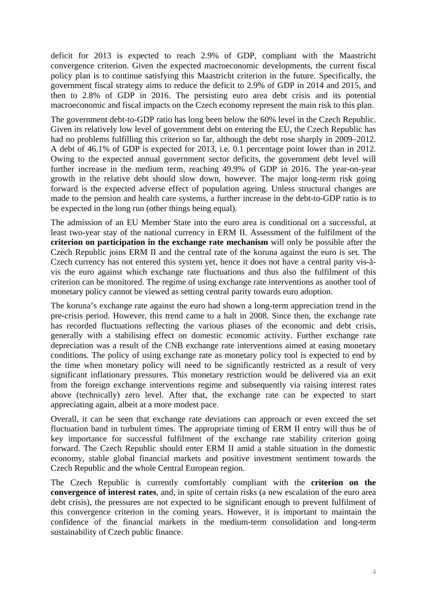deficit for 2013 is expected to reach 2.9% of GDP, compliant with the Maastricht convergence criterion. Given the expected macroeconomic developments, the current fiscal policy plan is to continue satisfying this Maastricht criterion in the future. Specifically, the government fiscal strategy aims to reduce the deficit to 2.9% of GDP in 2014 and 2015, and then to 2.8% of GDP in 2016. The persisting euro area debt crisis and its potential macroeconomic and fiscal impacts on the Czech economy represent the main risk to this plan.

The government debt-to-GDP ratio has long been below the 60% level in the Czech Republic. Given its relatively low level of government debt on entering the EU, the Czech Republic has had no problems fulfilling this criterion so far, although the debt rose sharply in 2009–2012. A debt of 46.1% of GDP is expected for 2013, i.e. 0.1 percentage point lower than in 2012. Owing to the expected annual government sector deficits, the government debt level will further increase in the medium term, reaching 49.9% of GDP in 2016. The year-on-year growth in the relative debt should slow down, however. The major long-term risk going forward is the expected adverse effect of population ageing. Unless structural changes are made to the pension and health care systems, a further increase in the debt-to-GDP ratio is to be expected in the long run (other things being equal).

The admission of an EU Member State into the euro area is conditional on a successful, at least two-year stay of the national currency in ERM II. Assessment of the fulfilment of the **criterion on participation in the exchange rate mechanism** will only be possible after the Czech Republic joins ERM II and the central rate of the koruna against the euro is set. The Czech currency has not entered this system yet, hence it does not have a central parity vis-àvis the euro against which exchange rate fluctuations and thus also the fulfilment of this criterion can be monitored. The regime of using exchange rate interventions as another tool of monetary policy cannot be viewed as setting central parity towards euro adoption.

The koruna's exchange rate against the euro had shown a long-term appreciation trend in the pre-crisis period. However, this trend came to a halt in 2008. Since then, the exchange rate has recorded fluctuations reflecting the various phases of the economic and debt crisis, generally with a stabilising effect on domestic economic activity. Further exchange rate depreciation was a result of the CNB exchange rate interventions aimed at easing monetary conditions. The policy of using exchange rate as monetary policy tool is expected to end by the time when monetary policy will need to be significantly restricted as a result of very significant inflationary pressures. This monetary restriction would be delivered via an exit from the foreign exchange interventions regime and subsequently via raising interest rates above (technically) zero level. After that, the exchange rate can be expected to start appreciating again, albeit at a more modest pace.

Overall, it can be seen that exchange rate deviations can approach or even exceed the set fluctuation band in turbulent times. The appropriate timing of ERM II entry will thus be of key importance for successful fulfilment of the exchange rate stability criterion going forward. The Czech Republic should enter ERM II amid a stable situation in the domestic economy, stable global financial markets and positive investment sentiment towards the Czech Republic and the whole Central European region.

The Czech Republic is currently comfortably compliant with the **criterion on the convergence of interest rates**, and, in spite of certain risks (a new escalation of the euro area debt crisis), the pressures are not expected to be significant enough to prevent fulfilment of this convergence criterion in the coming years. However, it is important to maintain the confidence of the financial markets in the medium-term consolidation and long-term sustainability of Czech public finance.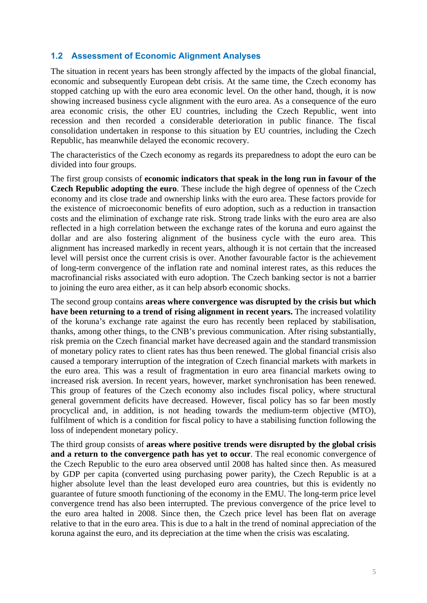## <span id="page-4-0"></span>**1.2 Assessment of Economic Alignment Analyses**

The situation in recent years has been strongly affected by the impacts of the global financial, economic and subsequently European debt crisis. At the same time, the Czech economy has stopped catching up with the euro area economic level. On the other hand, though, it is now showing increased business cycle alignment with the euro area. As a consequence of the euro area economic crisis, the other EU countries, including the Czech Republic, went into recession and then recorded a considerable deterioration in public finance. The fiscal consolidation undertaken in response to this situation by EU countries, including the Czech Republic, has meanwhile delayed the economic recovery.

The characteristics of the Czech economy as regards its preparedness to adopt the euro can be divided into four groups.

The first group consists of **economic indicators that speak in the long run in favour of the Czech Republic adopting the euro**. These include the high degree of openness of the Czech economy and its close trade and ownership links with the euro area. These factors provide for the existence of microeconomic benefits of euro adoption, such as a reduction in transaction costs and the elimination of exchange rate risk. Strong trade links with the euro area are also reflected in a high correlation between the exchange rates of the koruna and euro against the dollar and are also fostering alignment of the business cycle with the euro area. This alignment has increased markedly in recent years, although it is not certain that the increased level will persist once the current crisis is over. Another favourable factor is the achievement of long-term convergence of the inflation rate and nominal interest rates, as this reduces the macrofinancial risks associated with euro adoption. The Czech banking sector is not a barrier to joining the euro area either, as it can help absorb economic shocks.

The second group contains **areas where convergence was disrupted by the crisis but which have been returning to a trend of rising alignment in recent years.** The increased volatility of the koruna's exchange rate against the euro has recently been replaced by stabilisation, thanks, among other things, to the CNB's previous communication. After rising substantially, risk premia on the Czech financial market have decreased again and the standard transmission of monetary policy rates to client rates has thus been renewed. The global financial crisis also caused a temporary interruption of the integration of Czech financial markets with markets in the euro area. This was a result of fragmentation in euro area financial markets owing to increased risk aversion. In recent years, however, market synchronisation has been renewed. This group of features of the Czech economy also includes fiscal policy, where structural general government deficits have decreased. However, fiscal policy has so far been mostly procyclical and, in addition, is not heading towards the medium-term objective (MTO), fulfilment of which is a condition for fiscal policy to have a stabilising function following the loss of independent monetary policy.

The third group consists of **areas where positive trends were disrupted by the global crisis and a return to the convergence path has yet to occur**. The real economic convergence of the Czech Republic to the euro area observed until 2008 has halted since then. As measured by GDP per capita (converted using purchasing power parity), the Czech Republic is at a higher absolute level than the least developed euro area countries, but this is evidently no guarantee of future smooth functioning of the economy in the EMU. The long-term price level convergence trend has also been interrupted. The previous convergence of the price level to the euro area halted in 2008. Since then, the Czech price level has been flat on average relative to that in the euro area. This is due to a halt in the trend of nominal appreciation of the koruna against the euro, and its depreciation at the time when the crisis was escalating.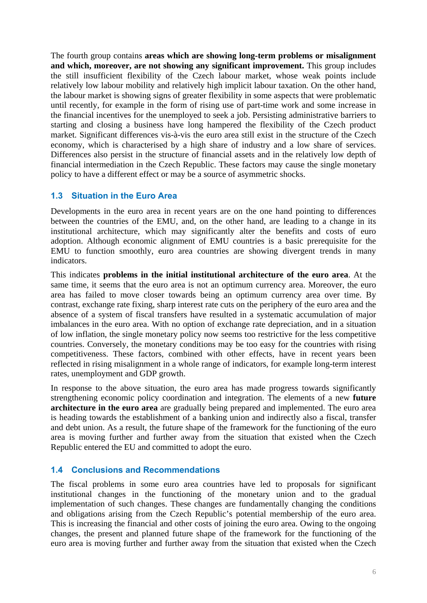The fourth group contains **areas which are showing long-term problems or misalignment and which, moreover, are not showing any significant improvement.** This group includes the still insufficient flexibility of the Czech labour market, whose weak points include relatively low labour mobility and relatively high implicit labour taxation. On the other hand, the labour market is showing signs of greater flexibility in some aspects that were problematic until recently, for example in the form of rising use of part-time work and some increase in the financial incentives for the unemployed to seek a job. Persisting administrative barriers to starting and closing a business have long hampered the flexibility of the Czech product market. Significant differences vis-à-vis the euro area still exist in the structure of the Czech economy, which is characterised by a high share of industry and a low share of services. Differences also persist in the structure of financial assets and in the relatively low depth of financial intermediation in the Czech Republic. These factors may cause the single monetary policy to have a different effect or may be a source of asymmetric shocks.

## <span id="page-5-0"></span>**1.3 Situation in the Euro Area**

Developments in the euro area in recent years are on the one hand pointing to differences between the countries of the EMU, and, on the other hand, are leading to a change in its institutional architecture, which may significantly alter the benefits and costs of euro adoption. Although economic alignment of EMU countries is a basic prerequisite for the EMU to function smoothly, euro area countries are showing divergent trends in many indicators.

This indicates **problems in the initial institutional architecture of the euro area**. At the same time, it seems that the euro area is not an optimum currency area. Moreover, the euro area has failed to move closer towards being an optimum currency area over time. By contrast, exchange rate fixing, sharp interest rate cuts on the periphery of the euro area and the absence of a system of fiscal transfers have resulted in a systematic accumulation of major imbalances in the euro area. With no option of exchange rate depreciation, and in a situation of low inflation, the single monetary policy now seems too restrictive for the less competitive countries. Conversely, the monetary conditions may be too easy for the countries with rising competitiveness. These factors, combined with other effects, have in recent years been reflected in rising misalignment in a whole range of indicators, for example long-term interest rates, unemployment and GDP growth.

In response to the above situation, the euro area has made progress towards significantly strengthening economic policy coordination and integration. The elements of a new **future architecture in the euro area** are gradually being prepared and implemented. The euro area is heading towards the establishment of a banking union and indirectly also a fiscal, transfer and debt union. As a result, the future shape of the framework for the functioning of the euro area is moving further and further away from the situation that existed when the Czech Republic entered the EU and committed to adopt the euro.

## <span id="page-5-1"></span>**1.4 Conclusions and Recommendations**

The fiscal problems in some euro area countries have led to proposals for significant institutional changes in the functioning of the monetary union and to the gradual implementation of such changes. These changes are fundamentally changing the conditions and obligations arising from the Czech Republic's potential membership of the euro area. This is increasing the financial and other costs of joining the euro area. Owing to the ongoing changes, the present and planned future shape of the framework for the functioning of the euro area is moving further and further away from the situation that existed when the Czech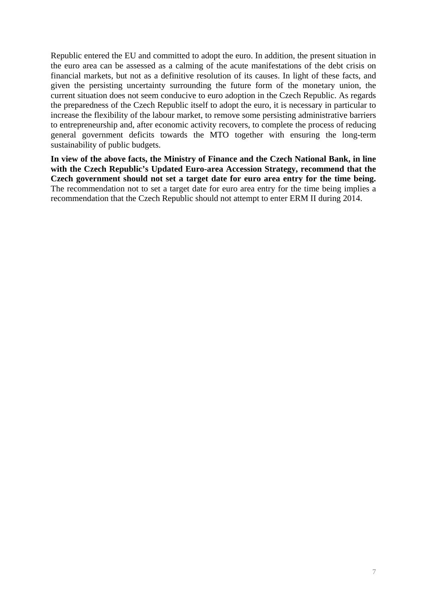Republic entered the EU and committed to adopt the euro. In addition, the present situation in the euro area can be assessed as a calming of the acute manifestations of the debt crisis on financial markets, but not as a definitive resolution of its causes. In light of these facts, and given the persisting uncertainty surrounding the future form of the monetary union, the current situation does not seem conducive to euro adoption in the Czech Republic. As regards the preparedness of the Czech Republic itself to adopt the euro, it is necessary in particular to increase the flexibility of the labour market, to remove some persisting administrative barriers to entrepreneurship and, after economic activity recovers, to complete the process of reducing general government deficits towards the MTO together with ensuring the long-term sustainability of public budgets.

**In view of the above facts, the Ministry of Finance and the Czech National Bank, in line with the Czech Republic's Updated Euro-area Accession Strategy, recommend that the Czech government should not set a target date for euro area entry for the time being.** The recommendation not to set a target date for euro area entry for the time being implies a recommendation that the Czech Republic should not attempt to enter ERM II during 2014.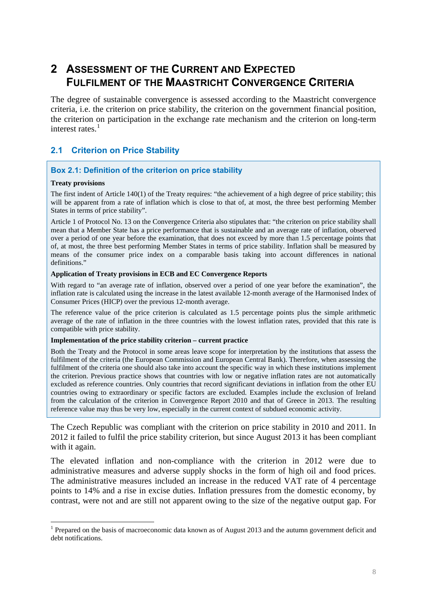# **2 ASSESSMENT OF THE CURRENT AND EXPECTED FULFILMENT OF THE MAASTRICHT CONVERGENCE CRITERIA**

<span id="page-7-0"></span>The degree of sustainable convergence is assessed according to the Maastricht convergence criteria, i.e. the criterion on price stability, the criterion on the government financial position, the criterion on participation in the exchange rate mechanism and the criterion on long-term interest rates.<sup>1</sup>

## **2.1 Criterion on Price Stability**

### **Box 2.1: Definition of the criterion on price stability**

#### **Treaty provisions**

1

<span id="page-7-2"></span><span id="page-7-1"></span>The first indent of Article 140(1) of the Treaty requires: "the achievement of a high degree of price stability; this will be apparent from a rate of inflation which is close to that of, at most, the three best performing Member States in terms of price stability".

Article 1 of Protocol No. 13 on the Convergence Criteria also stipulates that: "the criterion on price stability shall mean that a Member State has a price performance that is sustainable and an average rate of inflation, observed over a period of one year before the examination, that does not exceed by more than 1.5 percentage points that of, at most, the three best performing Member States in terms of price stability. Inflation shall be measured by means of the consumer price index on a comparable basis taking into account differences in national definitions."

#### **Application of Treaty provisions in ECB and EC Convergence Reports**

With regard to "an average rate of inflation, observed over a period of one year before the examination", the inflation rate is calculated using the increase in the latest available 12-month average of the Harmonised Index of Consumer Prices (HICP) over the previous 12-month average.

The reference value of the price criterion is calculated as 1.5 percentage points plus the simple arithmetic average of the rate of inflation in the three countries with the lowest inflation rates, provided that this rate is compatible with price stability.

#### **Implementation of the price stability criterion – current practice**

Both the Treaty and the Protocol in some areas leave scope for interpretation by the institutions that assess the fulfilment of the criteria (the European Commission and European Central Bank). Therefore, when assessing the fulfilment of the criteria one should also take into account the specific way in which these institutions implement the criterion. Previous practice shows that countries with low or negative inflation rates are not automatically excluded as reference countries. Only countries that record significant deviations in inflation from the other EU countries owing to extraordinary or specific factors are excluded. Examples include the exclusion of Ireland from the calculation of the criterion in Convergence Report 2010 and that of Greece in 2013. The resulting reference value may thus be very low, especially in the current context of subdued economic activity.

The Czech Republic was compliant with the criterion on price stability in 2010 and 2011. In 2012 it failed to fulfil the price stability criterion, but since August 2013 it has been compliant with it again.

The elevated inflation and non-compliance with the criterion in 2012 were due to administrative measures and adverse supply shocks in the form of high oil and food prices. The administrative measures included an increase in the reduced VAT rate of 4 percentage points to 14% and a rise in excise duties. Inflation pressures from the domestic economy, by contrast, were not and are still not apparent owing to the size of the negative output gap. For

<sup>&</sup>lt;sup>1</sup> Prepared on the basis of macroeconomic data known as of August 2013 and the autumn government deficit and debt notifications.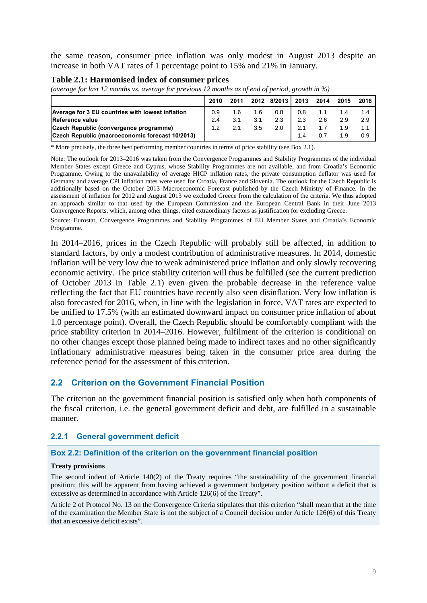the same reason, consumer price inflation was only modest in August 2013 despite an increase in both VAT rates of 1 percentage point to 15% and 21% in January.

#### <span id="page-8-3"></span>**Table 2.1: Harmonised index of consumer prices**

*(average for last 12 months vs. average for previous 12 months as of end of period, growth in %)*

|                                                  | 2010 | 2011 |     | 2012 8/2013 | 2013 | 2014 | 2015 | 2016 |
|--------------------------------------------------|------|------|-----|-------------|------|------|------|------|
| Average for 3 EU countries with lowest inflation | 0.9  | 1.6  | 1.6 | 0.8         | 0.8  |      |      | 1.4  |
| <b>IReference value</b>                          | 2.4  | 3.1  | 3.1 | 2.3         | 2.3  | 2.6  | 2.9  | 2.9  |
| Czech Republic (convergence programme)           | 1.2  | 2.1  | 3.5 | 2.0         | 2.1  |      |      |      |
| Czech Republic (macroeconomic forecast 10/2013)  |      |      |     |             | 1.4  | 0.7  | 1.9  | 0.9  |

\* More precisely, the three best performing member countries in terms of price stability (see Box 2.1).

Note: The outlook for 2013–2016 was taken from the Convergence Programmes and Stability Programmes of the individual Member States except Greece and Cyprus, whose Stability Programmes are not available, and from Croatia's Economic Programme. Owing to the unavailability of average HICP inflation rates, the private consumption deflator was used for Germany and average CPI inflation rates were used for Croatia, France and Slovenia. The outlook for the Czech Republic is additionally based on the October 2013 Macroeconomic Forecast published by the Czech Ministry of Finance. In the assessment of inflation for 2012 and August 2013 we excluded Greece from the calculation of the criteria. We thus adopted an approach similar to that used by the European Commission and the European Central Bank in their June 2013 Convergence Reports, which, among other things, cited extraordinary factors as justification for excluding Greece.

Source: Eurostat, Convergence Programmes and Stability Programmes of EU Member States and Croatia's Economic Programme.

In 2014–2016, prices in the Czech Republic will probably still be affected, in addition to standard factors, by only a modest contribution of administrative measures. In 2014, domestic inflation will be very low due to weak administered price inflation and only slowly recovering economic activity. The price stability criterion will thus be fulfilled (see the current prediction of October 2013 in Table 2.1) even given the probable decrease in the reference value reflecting the fact that EU countries have recently also seen disinflation. Very low inflation is also forecasted for 2016, when, in line with the legislation in force, VAT rates are expected to be unified to 17.5% (with an estimated downward impact on consumer price inflation of about 1.0 percentage point). Overall, the Czech Republic should be comfortably compliant with the price stability criterion in 2014–2016. However, fulfilment of the criterion is conditional on no other changes except those planned being made to indirect taxes and no other significantly inflationary administrative measures being taken in the consumer price area during the reference period for the assessment of this criterion.

## <span id="page-8-0"></span>**2.2 Criterion on the Government Financial Position**

The criterion on the government financial position is satisfied only when both components of the fiscal criterion, i.e. the general government deficit and debt, are fulfilled in a sustainable manner.

#### <span id="page-8-1"></span>**2.2.1 General government deficit**

#### <span id="page-8-2"></span>**Box 2.2: Definition of the criterion on the government financial position**

#### **Treaty provisions**

The second indent of Article 140(2) of the Treaty requires "the sustainability of the government financial position; this will be apparent from having achieved a government budgetary position without a deficit that is excessive as determined in accordance with Article 126(6) of the Treaty".

Article 2 of Protocol No. 13 on the Convergence Criteria stipulates that this criterion "shall mean that at the time of the examination the Member State is not the subject of a Council decision under Article 126(6) of this Treaty that an excessive deficit exists".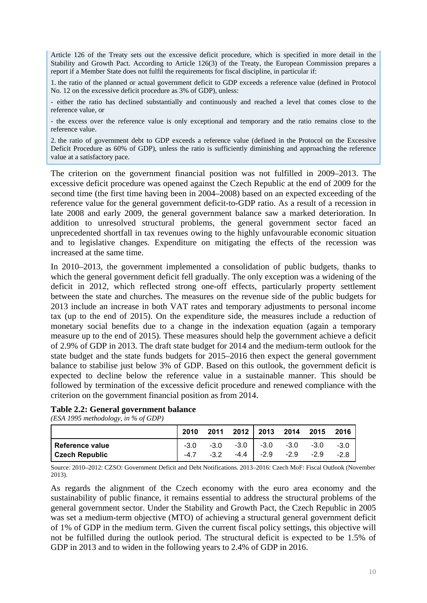Article 126 of the Treaty sets out the excessive deficit procedure, which is specified in more detail in the Stability and Growth Pact. According to Article 126(3) of the Treaty, the European Commission prepares a report if a Member State does not fulfil the requirements for fiscal discipline, in particular if:

1. the ratio of the planned or actual government deficit to GDP exceeds a reference value (defined in Protocol No. 12 on the excessive deficit procedure as 3% of GDP), unless:

- either the ratio has declined substantially and continuously and reached a level that comes close to the reference value, or

- the excess over the reference value is only exceptional and temporary and the ratio remains close to the reference value.

2. the ratio of government debt to GDP exceeds a reference value (defined in the Protocol on the Excessive Deficit Procedure as 60% of GDP), unless the ratio is sufficiently diminishing and approaching the reference value at a satisfactory pace.

The criterion on the government financial position was not fulfilled in 2009–2013. The excessive deficit procedure was opened against the Czech Republic at the end of 2009 for the second time (the first time having been in 2004–2008) based on an expected exceeding of the reference value for the general government deficit-to-GDP ratio. As a result of a recession in late 2008 and early 2009, the general government balance saw a marked deterioration. In addition to unresolved structural problems, the general government sector faced an unprecedented shortfall in tax revenues owing to the highly unfavourable economic situation and to legislative changes. Expenditure on mitigating the effects of the recession was increased at the same time.

In 2010–2013, the government implemented a consolidation of public budgets, thanks to which the general government deficit fell gradually. The only exception was a widening of the deficit in 2012, which reflected strong one-off effects, particularly property settlement between the state and churches. The measures on the revenue side of the public budgets for 2013 include an increase in both VAT rates and temporary adjustments to personal income tax (up to the end of 2015). On the expenditure side, the measures include a reduction of monetary social benefits due to a change in the indexation equation (again a temporary measure up to the end of 2015). These measures should help the government achieve a deficit of 2.9% of GDP in 2013. The draft state budget for 2014 and the medium-term outlook for the state budget and the state funds budgets for 2015–2016 then expect the general government balance to stabilise just below 3% of GDP. Based on this outlook, the government deficit is expected to decline below the reference value in a sustainable manner. This should be followed by termination of the excessive deficit procedure and renewed compliance with the criterion on the government financial position as from 2014.

#### **Table 2.2: General government balance**

*(ESA 1995 methodology, in % of GDP)*

|                       | 2010   |        |                                    | 2011 2012 2013 2014 2015 2016 |        |
|-----------------------|--------|--------|------------------------------------|-------------------------------|--------|
| l Reference value     | $-3.0$ |        | $-3.0$ $-3.0$ $-3.0$ $-3.0$ $-3.0$ |                               | $-3.0$ |
| <b>Czech Republic</b> | $-47$  | $-3.2$ | $-4.4$ $-2.9$ $-2.9$               | $-2.9$                        | $-2.8$ |

Source: 2010–2012: CZSO: Government Deficit and Debt Notifications. 2013–2016: Czech MoF: Fiscal Outlook (November 2013).

As regards the alignment of the Czech economy with the euro area economy and the sustainability of public finance, it remains essential to address the structural problems of the general government sector. Under the Stability and Growth Pact, the Czech Republic in 2005 was set a medium-term objective (MTO) of achieving a structural general government deficit of 1% of GDP in the medium term. Given the current fiscal policy settings, this objective will not be fulfilled during the outlook period. The structural deficit is expected to be 1.5% of GDP in 2013 and to widen in the following years to 2.4% of GDP in 2016.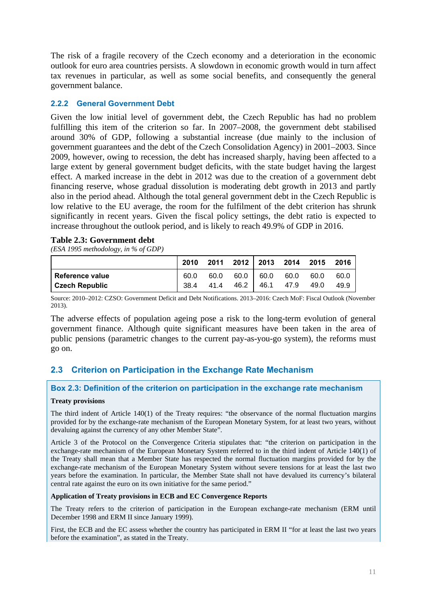The risk of a fragile recovery of the Czech economy and a deterioration in the economic outlook for euro area countries persists. A slowdown in economic growth would in turn affect tax revenues in particular, as well as some social benefits, and consequently the general government balance.

## <span id="page-10-0"></span>**2.2.2 General Government Debt**

Given the low initial level of government debt, the Czech Republic has had no problem fulfilling this item of the criterion so far. In 2007–2008, the government debt stabilised around 30% of GDP, following a substantial increase (due mainly to the inclusion of government guarantees and the debt of the Czech Consolidation Agency) in 2001–2003. Since 2009, however, owing to recession, the debt has increased sharply, having been affected to a large extent by general government budget deficits, with the state budget having the largest effect. A marked increase in the debt in 2012 was due to the creation of a government debt financing reserve, whose gradual dissolution is moderating debt growth in 2013 and partly also in the period ahead. Although the total general government debt in the Czech Republic is low relative to the EU average, the room for the fulfilment of the debt criterion has shrunk significantly in recent years. Given the fiscal policy settings, the debt ratio is expected to increase throughout the outlook period, and is likely to reach 49.9% of GDP in 2016.

#### <span id="page-10-3"></span>**Table 2.3: Government debt**

*(ESA 1995 methodology, in % of GDP)*

|                                            | 2010 2011 2012 2013 2014 2015 2016 |  |                                                 |                |              |
|--------------------------------------------|------------------------------------|--|-------------------------------------------------|----------------|--------------|
| l Reference value<br><b>Czech Republic</b> | 60.0                               |  | 60.0 60.0 60.0 60.0<br>38.4 41.4 46.2 46.1 47.9 | 60.0<br>- 49.0 | 60.0<br>49.9 |

Source: 2010–2012: CZSO: Government Deficit and Debt Notifications. 2013–2016: Czech MoF: Fiscal Outlook (November 2013).

The adverse effects of population ageing pose a risk to the long-term evolution of general government finance. Although quite significant measures have been taken in the area of public pensions (parametric changes to the current pay-as-you-go system), the reforms must go on.

## <span id="page-10-1"></span>**2.3 Criterion on Participation in the Exchange Rate Mechanism**

#### <span id="page-10-2"></span>**Box 2.3: Definition of the criterion on participation in the exchange rate mechanism**

#### **Treaty provisions**

The third indent of Article 140(1) of the Treaty requires: "the observance of the normal fluctuation margins provided for by the exchange-rate mechanism of the European Monetary System, for at least two years, without devaluing against the currency of any other Member State".

Article 3 of the Protocol on the Convergence Criteria stipulates that: "the criterion on participation in the exchange-rate mechanism of the European Monetary System referred to in the third indent of Article 140(1) of the Treaty shall mean that a Member State has respected the normal fluctuation margins provided for by the exchange-rate mechanism of the European Monetary System without severe tensions for at least the last two years before the examination. In particular, the Member State shall not have devalued its currency's bilateral central rate against the euro on its own initiative for the same period."

#### **Application of Treaty provisions in ECB and EC Convergence Reports**

The Treaty refers to the criterion of participation in the European exchange-rate mechanism (ERM until December 1998 and ERM II since January 1999).

First, the ECB and the EC assess whether the country has participated in ERM II "for at least the last two years before the examination", as stated in the Treaty.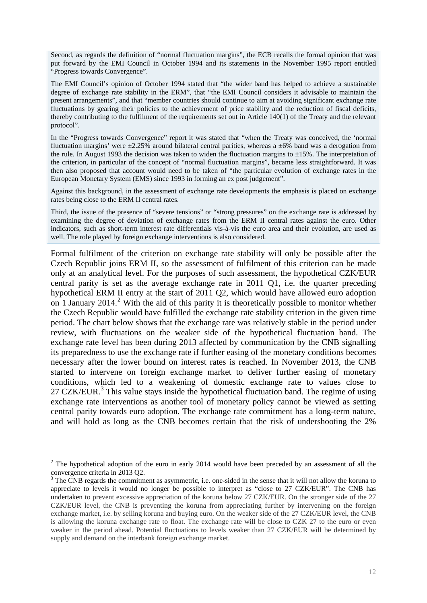Second, as regards the definition of "normal fluctuation margins", the ECB recalls the formal opinion that was put forward by the EMI Council in October 1994 and its statements in the November 1995 report entitled "Progress towards Convergence".

The EMI Council's opinion of October 1994 stated that "the wider band has helped to achieve a sustainable degree of exchange rate stability in the ERM", that "the EMI Council considers it advisable to maintain the present arrangements", and that "member countries should continue to aim at avoiding significant exchange rate fluctuations by gearing their policies to the achievement of price stability and the reduction of fiscal deficits, thereby contributing to the fulfilment of the requirements set out in Article 140(1) of the Treaty and the relevant protocol".

In the "Progress towards Convergence" report it was stated that "when the Treaty was conceived, the 'normal fluctuation margins' were  $\pm 2.25\%$  around bilateral central parities, whereas a  $\pm 6\%$  band was a derogation from the rule. In August 1993 the decision was taken to widen the fluctuation margins to  $\pm 15\%$ . The interpretation of the criterion, in particular of the concept of "normal fluctuation margins", became less straightforward. It was then also proposed that account would need to be taken of "the particular evolution of exchange rates in the European Monetary System (EMS) since 1993 in forming an ex post judgement".

Against this background, in the assessment of exchange rate developments the emphasis is placed on exchange rates being close to the ERM II central rates.

Third, the issue of the presence of "severe tensions" or "strong pressures" on the exchange rate is addressed by examining the degree of deviation of exchange rates from the ERM II central rates against the euro. Other indicators, such as short-term interest rate differentials vis-à-vis the euro area and their evolution, are used as well. The role played by foreign exchange interventions is also considered.

Formal fulfilment of the criterion on exchange rate stability will only be possible after the Czech Republic joins ERM II, so the assessment of fulfilment of this criterion can be made only at an analytical level. For the purposes of such assessment, the hypothetical CZK/EUR central parity is set as the average exchange rate in 2011 Q1, i.e. the quarter preceding hypothetical ERM II entry at the start of 2011 Q2, which would have allowed euro adoption on 1 January 2014.<sup>2</sup> With the aid of this parity it is theoretically possible to monitor whether the Czech Republic would have fulfilled the exchange rate stability criterion in the given time period. The chart below shows that the exchange rate was relatively stable in the period under review, with fluct[u](#page-11-0)ations on the weaker side of the hypothetical fluctuation band. The exchange rate level has been during 2013 affected by communication by the CNB signalling its preparedness to use the exchange rate if further easing of the monetary conditions becomes necessary after the lower bound on interest rates is reached. In November 2013, the CNB started to intervene on foreign exchange market to deliver further easing of monetary conditions, which led to a weakening of domestic exchange rate to values close to 27 CZK/EUR.<sup>3</sup> This value stays inside the hypothetical fluctuation band. The regime of using exchange rate interventions as another tool of monetary policy cannot be viewed as setting central parity towards euro adoption. The exchange rate commitment has a long-term nature, and will hold [a](#page-11-1)s long as the CNB becomes certain that the risk of undershooting the 2%

<u>.</u>

 $2$  The hypothetical adoption of the euro in early 2014 would have been preceded by an assessment of all the convergence criteria in 2013 Q2.

<span id="page-11-1"></span><span id="page-11-0"></span> $3$  The CNB regards the commitment as asymmetric, i.e. one-sided in the sense that it will not allow the koruna to appreciate to levels it would no longer be possible to interpret as "close to 27 CZK/EUR". The CNB has undertaken to prevent excessive appreciation of the koruna below 27 CZK/EUR. On the stronger side of the 27 CZK/EUR level, the CNB is preventing the koruna from appreciating further by intervening on the foreign exchange market, i.e. by selling koruna and buying euro. On the weaker side of the 27 CZK/EUR level, the CNB is allowing the koruna exchange rate to float. The exchange rate will be close to CZK 27 to the euro or even weaker in the period ahead. Potential fluctuations to levels weaker than 27 CZK/EUR will be determined by supply and demand on the interbank foreign exchange market.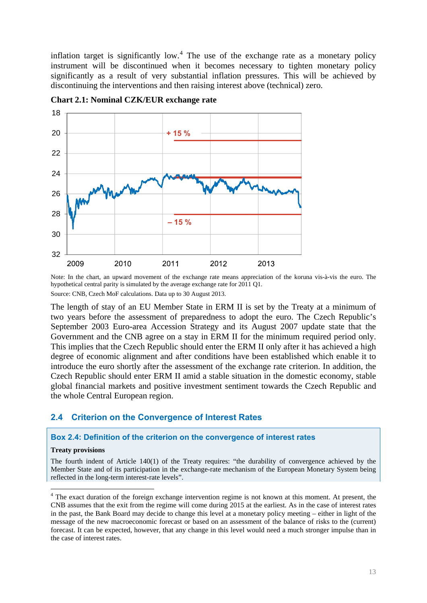inflation target is significantly low.<sup>4</sup> The use of the exchange rate as a monetary policy instrument will be discontinued when it becomes necessary to tighten monetary policy significantly as a result of very substantial inflation pressures. This will be achieved by discontinuing the interventions and t[he](#page-12-3)n raising interest above (technical) zero.

<span id="page-12-2"></span>

**Chart 2.1: Nominal CZK/EUR exchange rate** 

Note: In the chart, an upward movement of the exchange rate means appreciation of the koruna vis-à-vis the euro. The hypothetical central parity is simulated by the average exchange rate for 2011 Q1.

Source: CNB, Czech MoF calculations. Data up to 30 August 2013.

The length of stay of an EU Member State in ERM II is set by the Treaty at a minimum of two years before the assessment of preparedness to adopt the euro. The Czech Republic's September 2003 Euro-area Accession Strategy and its August 2007 update state that the Government and the CNB agree on a stay in ERM II for the minimum required period only. This implies that the Czech Republic should enter the ERM II only after it has achieved a high degree of economic alignment and after conditions have been established which enable it to introduce the euro shortly after the assessment of the exchange rate criterion. In addition, the Czech Republic should enter ERM II amid a stable situation in the domestic economy, stable global financial markets and positive investment sentiment towards the Czech Republic and the whole Central European region.

#### **2.4 Criterion on the Convergence of Interest Rates**

#### **Box 2.4: Definition of the criterion on the convergence of interest rates**

#### **Treaty provisions**

1

<span id="page-12-1"></span><span id="page-12-0"></span>The fourth indent of Article 140(1) of the Treaty requires: "the durability of convergence achieved by the Member State and of its participation in the exchange-rate mechanism of the European Monetary System being reflected in the long-term interest-rate levels".

<span id="page-12-3"></span><sup>&</sup>lt;sup>4</sup> The exact duration of the foreign exchange intervention regime is not known at this moment. At present, the CNB assumes that the exit from the regime will come during 2015 at the earliest*.* As in the case of interest rates in the past, the Bank Board may decide to change this level at a monetary policy meeting – either in light of the message of the new macroeconomic forecast or based on an assessment of the balance of risks to the (current) forecast. It can be expected, however, that any change in this level would need a much stronger impulse than in the case of interest rates.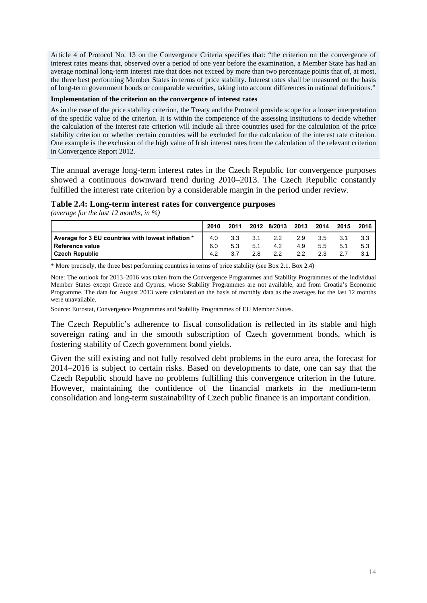Article 4 of Protocol No. 13 on the Convergence Criteria specifies that: "the criterion on the convergence of interest rates means that, observed over a period of one year before the examination, a Member State has had an average nominal long-term interest rate that does not exceed by more than two percentage points that of, at most, the three best performing Member States in terms of price stability. Interest rates shall be measured on the basis of long-term government bonds or comparable securities, taking into account differences in national definitions."

#### **Implementation of the criterion on the convergence of interest rates**

As in the case of the price stability criterion, the Treaty and the Protocol provide scope for a looser interpretation of the specific value of the criterion. It is within the competence of the assessing institutions to decide whether the calculation of the interest rate criterion will include all three countries used for the calculation of the price stability criterion or whether certain countries will be excluded for the calculation of the interest rate criterion. One example is the exclusion of the high value of Irish interest rates from the calculation of the relevant criterion in Convergence Report 2012.

The annual average long-term interest rates in the Czech Republic for convergence purposes showed a continuous downward trend during 2010–2013. The Czech Republic constantly fulfilled the interest rate criterion by a considerable margin in the period under review.

#### <span id="page-13-0"></span>**Table 2.4: Long-term interest rates for convergence purposes**

*(average for the last 12 months, in %)*

|                                                    | 2010 | 2011 | 2012 | 8/2013 I      | 2013 | 2014 | 2015 | 2016 |
|----------------------------------------------------|------|------|------|---------------|------|------|------|------|
| Average for 3 EU countries with lowest inflation * | 4.0  | 3.3  | 3.1  | $2.2^{\circ}$ | 2.9  | 3.5  | 3.1  |      |
| <b>Reference value</b>                             | 6.0  | 5.3  | 5.1  | 4.2           | 4.9  | 5.5  | 5.1  | 5.3  |
| <b>Czech Republic</b>                              | 4.2  | 3.7  | 2.8  | 2.2           | 2.2  | 2.3  |      |      |

\* More precisely, the three best performing countries in terms of price stability (see Box 2.1, Box 2.4)

Note: The outlook for 2013–2016 was taken from the Convergence Programmes and Stability Programmes of the individual Member States except Greece and Cyprus, whose Stability Programmes are not available, and from Croatia's Economic Programme. The data for August 2013 were calculated on the basis of monthly data as the averages for the last 12 months were unavailable.

Source: Eurostat, Convergence Programmes and Stability Programmes of EU Member States.

The Czech Republic's adherence to fiscal consolidation is reflected in its stable and high sovereign rating and in the smooth subscription of Czech government bonds, which is fostering stability of Czech government bond yields.

Given the still existing and not fully resolved debt problems in the euro area, the forecast for 2014–2016 is subject to certain risks. Based on developments to date, one can say that the Czech Republic should have no problems fulfilling this convergence criterion in the future. However, maintaining the confidence of the financial markets in the medium-term consolidation and long-term sustainability of Czech public finance is an important condition.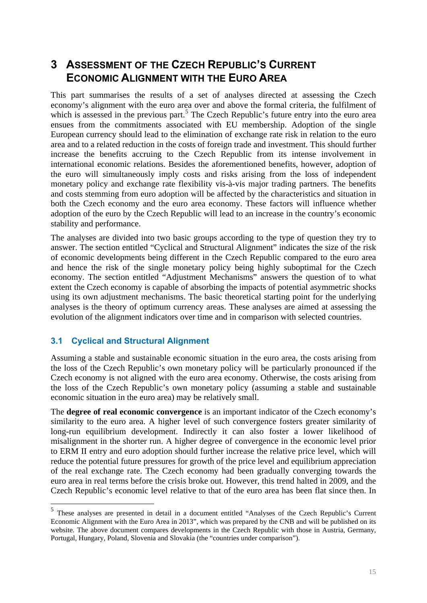## **3 ASSESSMENT OF THE CZECH REPUBLIC'S CURRENT ECONOMIC ALIGNMENT WITH THE EURO AREA**

<span id="page-14-0"></span>This part summarises the results of a set of analyses directed at assessing the Czech economy's alignment with the euro area over and above the formal criteria, the fulfilment of which is assessed in the previous part.<sup>5</sup> The Czech Republic's future entry into the euro area ensues from the commitments associated with EU membership. Adoption of the single European currency should lead to the elimination of exchange rate risk in relation to the euro area and to a related reduction in the c[os](#page-14-1)ts of foreign trade and investment. This should further increase the benefits accruing to the Czech Republic from its intense involvement in international economic relations. Besides the aforementioned benefits, however, adoption of the euro will simultaneously imply costs and risks arising from the loss of independent monetary policy and exchange rate flexibility vis-à-vis major trading partners. The benefits and costs stemming from euro adoption will be affected by the characteristics and situation in both the Czech economy and the euro area economy. These factors will influence whether adoption of the euro by the Czech Republic will lead to an increase in the country's economic stability and performance.

The analyses are divided into two basic groups according to the type of question they try to answer. The section entitled "Cyclical and Structural Alignment" indicates the size of the risk of economic developments being different in the Czech Republic compared to the euro area and hence the risk of the single monetary policy being highly suboptimal for the Czech economy. The section entitled "Adjustment Mechanisms" answers the question of to what extent the Czech economy is capable of absorbing the impacts of potential asymmetric shocks using its own adjustment mechanisms. The basic theoretical starting point for the underlying analyses is the theory of optimum currency areas. These analyses are aimed at assessing the evolution of the alignment indicators over time and in comparison with selected countries.

## **3.1 Cyclical and Structural Alignment**

<u>.</u>

Assuming a stable and sustainable economic situation in the euro area, the costs arising from the loss of the Czech Republic's own monetary policy will be particularly pronounced if the Czech economy is not aligned with the euro area economy. Otherwise, the costs arising from the loss of the Czech Republic's own monetary policy (assuming a stable and sustainable economic situation in the euro area) may be relatively small.

The **degree of real economic convergence** is an important indicator of the Czech economy's similarity to the euro area. A higher level of such convergence fosters greater similarity of long-run equilibrium development. Indirectly it can also foster a lower likelihood of misalignment in the shorter run. A higher degree of convergence in the economic level prior to ERM II entry and euro adoption should further increase the relative price level, which will reduce the potential future pressures for growth of the price level and equilibrium appreciation of the real exchange rate. The Czech economy had been gradually converging towards the euro area in real terms before the crisis broke out. However, this trend halted in 2009, and the Czech Republic's economic level relative to that of the euro area has been flat since then. In

<span id="page-14-1"></span><sup>5</sup> These analyses are presented in detail in a document entitled "Analyses of the Czech Republic's Current Economic Alignment with the Euro Area in 2013", which was prepared by the CNB and will be published on its website. The above document compares developments in the Czech Republic with those in Austria, Germany, Portugal, Hungary, Poland, Slovenia and Slovakia (the "countries under comparison").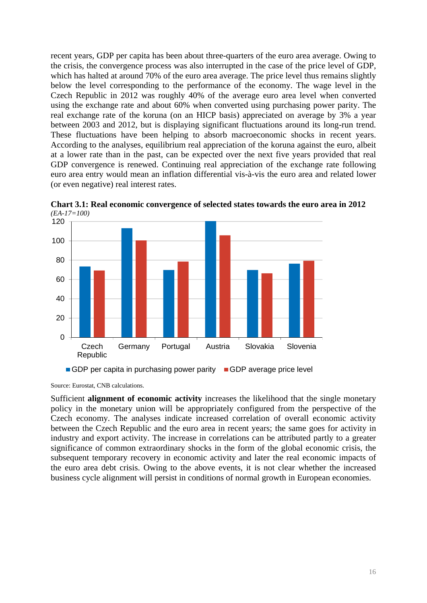recent years, GDP per capita has been about three-quarters of the euro area average. Owing to the crisis, the convergence process was also interrupted in the case of the price level of GDP, which has halted at around 70% of the euro area average. The price level thus remains slightly below the level corresponding to the performance of the economy. The wage level in the Czech Republic in 2012 was roughly 40% of the average euro area level when converted using the exchange rate and about 60% when converted using purchasing power parity. The real exchange rate of the koruna (on an HICP basis) appreciated on average by 3% a year between 2003 and 2012, but is displaying significant fluctuations around its long-run trend. These fluctuations have been helping to absorb macroeconomic shocks in recent years. According to the analyses, equilibrium real appreciation of the koruna against the euro, albeit at a lower rate than in the past, can be expected over the next five years provided that real GDP convergence is renewed. Continuing real appreciation of the exchange rate following euro area entry would mean an inflation differential vis-à-vis the euro area and related lower (or even negative) real interest rates.



<span id="page-15-0"></span>**Chart 3.1: Real economic convergence of selected states towards the euro area in 2012**  *(EA-17=100)* 

Source: Eurostat, CNB calculations.

Sufficient **alignment of economic activity** increases the likelihood that the single monetary policy in the monetary union will be appropriately configured from the perspective of the Czech economy. The analyses indicate increased correlation of overall economic activity between the Czech Republic and the euro area in recent years; the same goes for activity in industry and export activity. The increase in correlations can be attributed partly to a greater significance of common extraordinary shocks in the form of the global economic crisis, the subsequent temporary recovery in economic activity and later the real economic impacts of the euro area debt crisis. Owing to the above events, it is not clear whether the increased business cycle alignment will persist in conditions of normal growth in European economies.

GDP per capita in purchasing power parity GDP average price level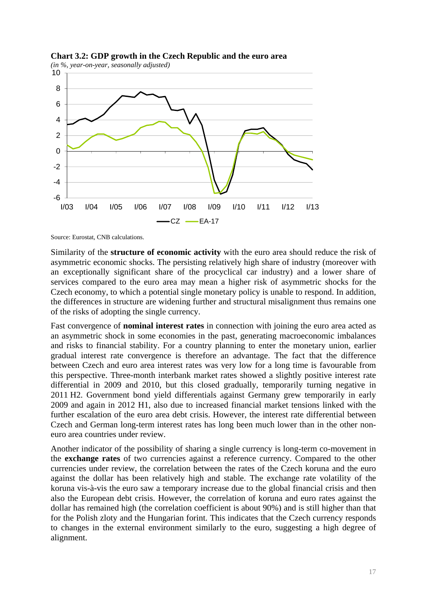

<span id="page-16-0"></span>**Chart 3.2: GDP growth in the Czech Republic and the euro area** 

Source: Eurostat, CNB calculations.

Similarity of the **structure of economic activity** with the euro area should reduce the risk of asymmetric economic shocks. The persisting relatively high share of industry (moreover with an exceptionally significant share of the procyclical car industry) and a lower share of services compared to the euro area may mean a higher risk of asymmetric shocks for the Czech economy, to which a potential single monetary policy is unable to respond. In addition, the differences in structure are widening further and structural misalignment thus remains one of the risks of adopting the single currency.

Fast convergence of **nominal interest rates** in connection with joining the euro area acted as an asymmetric shock in some economies in the past, generating macroeconomic imbalances and risks to financial stability. For a country planning to enter the monetary union, earlier gradual interest rate convergence is therefore an advantage. The fact that the difference between Czech and euro area interest rates was very low for a long time is favourable from this perspective. Three-month interbank market rates showed a slightly positive interest rate differential in 2009 and 2010, but this closed gradually, temporarily turning negative in 2011 H2. Government bond yield differentials against Germany grew temporarily in early 2009 and again in 2012 H1, also due to increased financial market tensions linked with the further escalation of the euro area debt crisis. However, the interest rate differential between Czech and German long-term interest rates has long been much lower than in the other noneuro area countries under review.

Another indicator of the possibility of sharing a single currency is long-term co-movement in the **exchange rates** of two currencies against a reference currency. Compared to the other currencies under review, the correlation between the rates of the Czech koruna and the euro against the dollar has been relatively high and stable. The exchange rate volatility of the koruna vis-à-vis the euro saw a temporary increase due to the global financial crisis and then also the European debt crisis. However, the correlation of koruna and euro rates against the dollar has remained high (the correlation coefficient is about 90%) and is still higher than that for the Polish zloty and the Hungarian forint. This indicates that the Czech currency responds to changes in the external environment similarly to the euro, suggesting a high degree of alignment.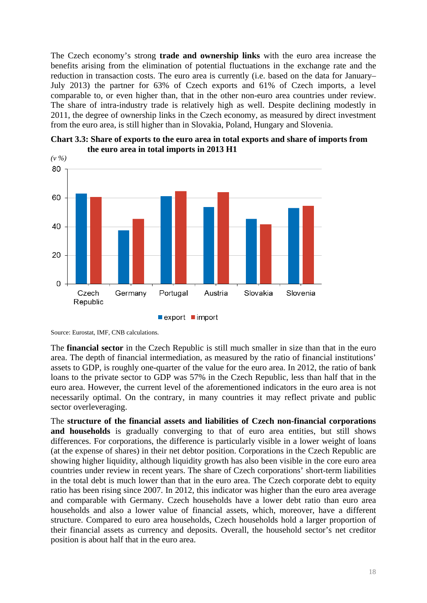The Czech economy's strong **trade and ownership links** with the euro area increase the benefits arising from the elimination of potential fluctuations in the exchange rate and the reduction in transaction costs. The euro area is currently (i.e. based on the data for January– July 2013) the partner for 63% of Czech exports and 61% of Czech imports, a level comparable to, or even higher than, that in the other non-euro area countries under review. The share of intra-industry trade is relatively high as well. Despite declining modestly in 2011, the degree of ownership links in the Czech economy, as measured by direct investment from the euro area, is still higher than in Slovakia, Poland, Hungary and Slovenia.

<span id="page-17-0"></span>



Source: Eurostat, IMF, CNB calculations.

The **financial sector** in the Czech Republic is still much smaller in size than that in the euro area. The depth of financial intermediation, as measured by the ratio of financial institutions' assets to GDP, is roughly one-quarter of the value for the euro area. In 2012, the ratio of bank loans to the private sector to GDP was 57% in the Czech Republic, less than half that in the euro area. However, the current level of the aforementioned indicators in the euro area is not necessarily optimal. On the contrary, in many countries it may reflect private and public sector overleveraging.

The **structure of the financial assets and liabilities of Czech non-financial corporations**  and households is gradually converging to that of euro area entities, but still shows differences. For corporations, the difference is particularly visible in a lower weight of loans (at the expense of shares) in their net debtor position. Corporations in the Czech Republic are showing higher liquidity, although liquidity growth has also been visible in the core euro area countries under review in recent years. The share of Czech corporations' short-term liabilities in the total debt is much lower than that in the euro area. The Czech corporate debt to equity ratio has been rising since 2007. In 2012, this indicator was higher than the euro area average and comparable with Germany. Czech households have a lower debt ratio than euro area households and also a lower value of financial assets, which, moreover, have a different structure. Compared to euro area households, Czech households hold a larger proportion of their financial assets as currency and deposits. Overall, the household sector's net creditor position is about half that in the euro area.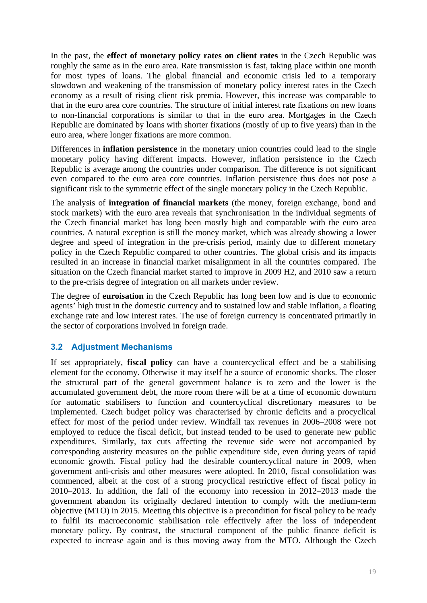In the past, the **effect of monetary policy rates on client rates** in the Czech Republic was roughly the same as in the euro area. Rate transmission is fast, taking place within one month for most types of loans. The global financial and economic crisis led to a temporary slowdown and weakening of the transmission of monetary policy interest rates in the Czech economy as a result of rising client risk premia. However, this increase was comparable to that in the euro area core countries. The structure of initial interest rate fixations on new loans to non-financial corporations is similar to that in the euro area. Mortgages in the Czech Republic are dominated by loans with shorter fixations (mostly of up to five years) than in the euro area, where longer fixations are more common.

Differences in **inflation persistence** in the monetary union countries could lead to the single monetary policy having different impacts. However, inflation persistence in the Czech Republic is average among the countries under comparison. The difference is not significant even compared to the euro area core countries. Inflation persistence thus does not pose a significant risk to the symmetric effect of the single monetary policy in the Czech Republic.

The analysis of **integration of financial markets** (the money, foreign exchange, bond and stock markets) with the euro area reveals that synchronisation in the individual segments of the Czech financial market has long been mostly high and comparable with the euro area countries. A natural exception is still the money market, which was already showing a lower degree and speed of integration in the pre-crisis period, mainly due to different monetary policy in the Czech Republic compared to other countries. The global crisis and its impacts resulted in an increase in financial market misalignment in all the countries compared. The situation on the Czech financial market started to improve in 2009 H2, and 2010 saw a return to the pre-crisis degree of integration on all markets under review.

The degree of **euroisation** in the Czech Republic has long been low and is due to economic agents' high trust in the domestic currency and to sustained low and stable inflation, a floating exchange rate and low interest rates. The use of foreign currency is concentrated primarily in the sector of corporations involved in foreign trade.

## <span id="page-18-0"></span>**3.2 Adjustment Mechanisms**

If set appropriately, **fiscal policy** can have a countercyclical effect and be a stabilising element for the economy. Otherwise it may itself be a source of economic shocks. The closer the structural part of the general government balance is to zero and the lower is the accumulated government debt, the more room there will be at a time of economic downturn for automatic stabilisers to function and countercyclical discretionary measures to be implemented. Czech budget policy was characterised by chronic deficits and a procyclical effect for most of the period under review. Windfall tax revenues in 2006–2008 were not employed to reduce the fiscal deficit, but instead tended to be used to generate new public expenditures. Similarly, tax cuts affecting the revenue side were not accompanied by corresponding austerity measures on the public expenditure side, even during years of rapid economic growth. Fiscal policy had the desirable countercyclical nature in 2009, when government anti-crisis and other measures were adopted. In 2010, fiscal consolidation was commenced, albeit at the cost of a strong procyclical restrictive effect of fiscal policy in 2010–2013. In addition, the fall of the economy into recession in 2012–2013 made the government abandon its originally declared intention to comply with the medium-term objective (MTO) in 2015. Meeting this objective is a precondition for fiscal policy to be ready to fulfil its macroeconomic stabilisation role effectively after the loss of independent monetary policy. By contrast, the structural component of the public finance deficit is expected to increase again and is thus moving away from the MTO. Although the Czech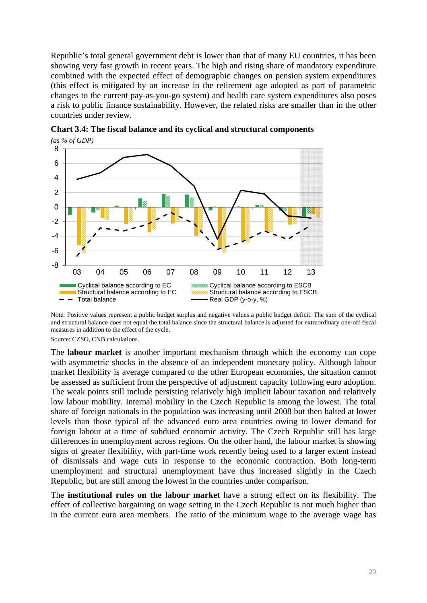Republic's total general government debt is lower than that of many EU countries, it has been showing very fast growth in recent years. The high and rising share of mandatory expenditure combined with the expected effect of demographic changes on pension system expenditures (this effect is mitigated by an increase in the retirement age adopted as part of parametric changes to the current pay-as-you-go system) and health care system expenditures also poses a risk to public finance sustainability. However, the related risks are smaller than in the other countries under review.



**Chart 3.4: The fiscal balance and its cyclical and structural components**  *(as % of GDP)* 

Source: CZSO, CNB calculations.

The **labour market** is another important mechanism through which the economy can cope with asymmetric shocks in the absence of an independent monetary policy. Although labour market flexibility is average compared to the other European economies, the situation cannot be assessed as sufficient from the perspective of adjustment capacity following euro adoption. The weak points still include persisting relatively high implicit labour taxation and relatively low labour mobility. Internal mobility in the Czech Republic is among the lowest. The total share of foreign nationals in the population was increasing until 2008 but then halted at lower levels than those typical of the advanced euro area countries owing to lower demand for foreign labour at a time of subdued economic activity. The Czech Republic still has large differences in unemployment across regions. On the other hand, the labour market is showing signs of greater flexibility, with part-time work recently being used to a larger extent instead of dismissals and wage cuts in response to the economic contraction. Both long-term unemployment and structural unemployment have thus increased slightly in the Czech Republic, but are still among the lowest in the countries under comparison.

The **institutional rules on the labour market** have a strong effect on its flexibility. The effect of collective bargaining on wage setting in the Czech Republic is not much higher than in the current euro area members. The ratio of the minimum wage to the average wage has

Note: Positive values represent a public budget surplus and negative values a public budget deficit. The sum of the cyclical and structural balance does not equal the total balance since the structural balance is adjusted for extraordinary one-off fiscal measures in addition to the effect of the cycle.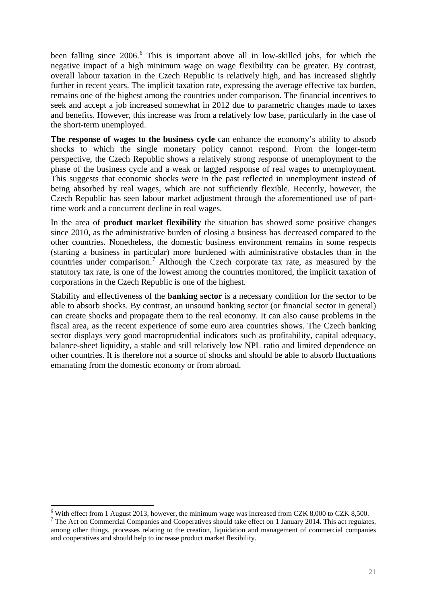been falling since 2006.<sup>6</sup> This is important above all in low-skilled jobs, for which the negative impact of a high minimum wage on wage flexibility can be greater. By contrast, overall labour taxation in the Czech Republic is relatively high, and has increased slightly further in recent years. T[he](#page-20-0) implicit taxation rate, expressing the average effective tax burden, remains one of the highest among the countries under comparison. The financial incentives to seek and accept a job increased somewhat in 2012 due to parametric changes made to taxes and benefits. However, this increase was from a relatively low base, particularly in the case of the short-term unemployed.

**The response of wages to the business cycle** can enhance the economy's ability to absorb shocks to which the single monetary policy cannot respond. From the longer-term perspective, the Czech Republic shows a relatively strong response of unemployment to the phase of the business cycle and a weak or lagged response of real wages to unemployment. This suggests that economic shocks were in the past reflected in unemployment instead of being absorbed by real wages, which are not sufficiently flexible. Recently, however, the Czech Republic has seen labour market adjustment through the aforementioned use of parttime work and a concurrent decline in real wages.

In the area of **product market flexibility** the situation has showed some positive changes since 2010, as the administrative burden of closing a business has decreased compared to the other countries. Nonetheless, the domestic business environment remains in some respects (starting a business in particular) more burdened with administrative obstacles than in the countries under comparison.<sup>7</sup> Although the Czech corporate tax rate, as measured by the statutory tax rate, is one of the lowest among the countries monitored, the implicit taxation of corporations in the Czech Republic is one of the highest.

Stability and effectiveness of [t](#page-20-1)he **banking sector** is a necessary condition for the sector to be able to absorb shocks. By contrast, an unsound banking sector (or financial sector in general) can create shocks and propagate them to the real economy. It can also cause problems in the fiscal area, as the recent experience of some euro area countries shows. The Czech banking sector displays very good macroprudential indicators such as profitability, capital adequacy, balance-sheet liquidity, a stable and still relatively low NPL ratio and limited dependence on other countries. It is therefore not a source of shocks and should be able to absorb fluctuations emanating from the domestic economy or from abroad.

<u>.</u>

 $6$  With effect from 1 August 2013, however, the minimum wage was increased from CZK 8,000 to CZK 8,500.

<span id="page-20-1"></span><span id="page-20-0"></span><sup>&</sup>lt;sup>7</sup> The Act on Commercial Companies and Cooperatives should take effect on 1 January 2014. This act regulates, among other things, processes relating to the creation, liquidation and management of commercial companies and cooperatives and should help to increase product market flexibility.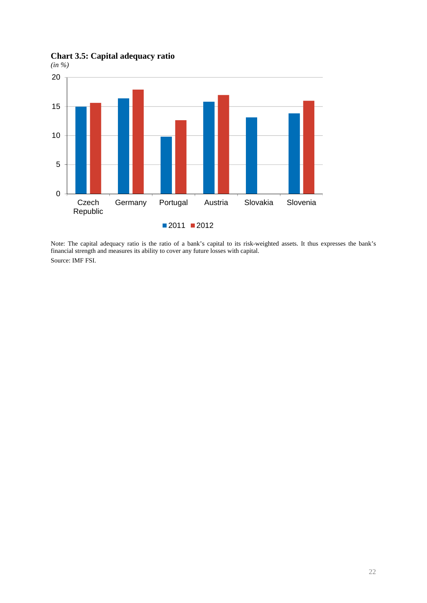**Chart 3.5: Capital adequacy ratio** 

*(in %)* 



Note: The capital adequacy ratio is the ratio of a bank's capital to its risk-weighted assets. It thus expresses the bank's financial strength and measures its ability to cover any future losses with capital. Source: IMF FSI.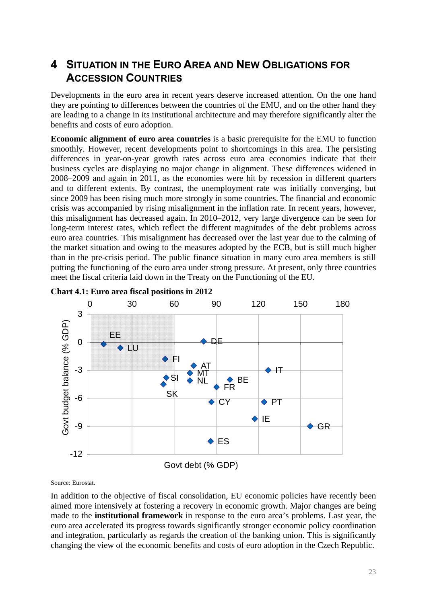## <span id="page-22-0"></span>**4 SITUATION IN THE EURO AREA AND NEW OBLIGATIONS FOR ACCESSION COUNTRIES**

Developments in the euro area in recent years deserve increased attention. On the one hand they are pointing to differences between the countries of the EMU, and on the other hand they are leading to a change in its institutional architecture and may therefore significantly alter the benefits and costs of euro adoption.

**Economic alignment of euro area countries** is a basic prerequisite for the EMU to function smoothly. However, recent developments point to shortcomings in this area. The persisting differences in year-on-year growth rates across euro area economies indicate that their business cycles are displaying no major change in alignment. These differences widened in 2008–2009 and again in 2011, as the economies were hit by recession in different quarters and to different extents. By contrast, the unemployment rate was initially converging, but since 2009 has been rising much more strongly in some countries. The financial and economic crisis was accompanied by rising misalignment in the inflation rate. In recent years, however, this misalignment has decreased again. In 2010–2012, very large divergence can be seen for long-term interest rates, which reflect the different magnitudes of the debt problems across euro area countries. This misalignment has decreased over the last year due to the calming of the market situation and owing to the measures adopted by the ECB, but is still much higher than in the pre-crisis period. The public finance situation in many euro area members is still putting the functioning of the euro area under strong pressure. At present, only three countries meet the fiscal criteria laid down in the Treaty on the Functioning of the EU.



### **Chart 4.1: Euro area fiscal positions in 2012**

Source: Eurostat.

In addition to the objective of fiscal consolidation, EU economic policies have recently been aimed more intensively at fostering a recovery in economic growth. Major changes are being made to the **institutional framework** in response to the euro area's problems. Last year, the euro area accelerated its progress towards significantly stronger economic policy coordination and integration, particularly as regards the creation of the banking union. This is significantly changing the view of the economic benefits and costs of euro adoption in the Czech Republic.